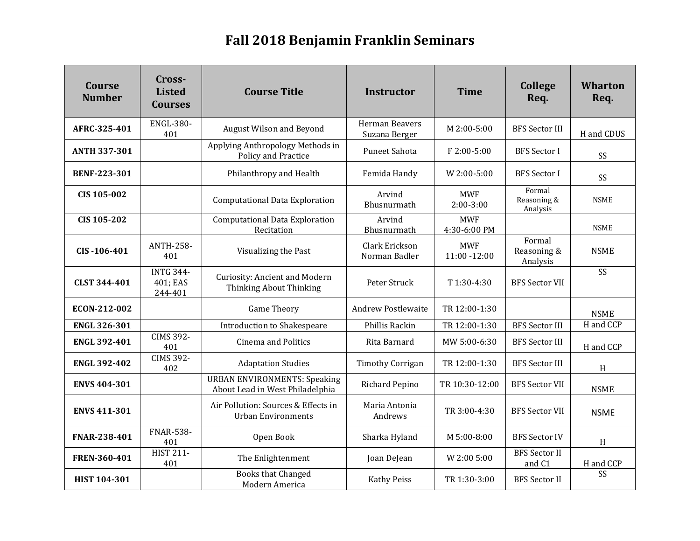## **Fall 2018 Benjamin Franklin Seminars**

| <b>Course</b><br><b>Number</b> | Cross-<br><b>Listed</b><br><b>Courses</b> | <b>Course Title</b>                                                    | <b>Instructor</b>               | <b>Time</b>                   | <b>College</b><br>Req.            | <b>Wharton</b><br>Req. |
|--------------------------------|-------------------------------------------|------------------------------------------------------------------------|---------------------------------|-------------------------------|-----------------------------------|------------------------|
| AFRC-325-401                   | <b>ENGL-380-</b><br>401                   | August Wilson and Beyond                                               | Herman Beavers<br>Suzana Berger | M 2:00-5:00                   | <b>BFS Sector III</b>             | H and CDUS             |
| <b>ANTH 337-301</b>            |                                           | Applying Anthropology Methods in<br>Policy and Practice                | <b>Puneet Sahota</b>            | F 2:00-5:00                   | <b>BFS</b> Sector I               | SS                     |
| <b>BENF-223-301</b>            |                                           | Philanthropy and Health                                                | Femida Handy                    | $W 2:00-5:00$                 | <b>BFS</b> Sector I               | SS                     |
| <b>CIS 105-002</b>             |                                           | <b>Computational Data Exploration</b>                                  | Arvind<br>Bhusnurmath           | <b>MWF</b><br>$2:00-3:00$     | Formal<br>Reasoning &<br>Analysis | <b>NSME</b>            |
| CIS 105-202                    |                                           | <b>Computational Data Exploration</b><br>Recitation                    | Arvind<br>Bhusnurmath           | <b>MWF</b><br>4:30-6:00 PM    |                                   | <b>NSME</b>            |
| CIS-106-401                    | <b>ANTH-258-</b><br>401                   | Visualizing the Past                                                   | Clark Erickson<br>Norman Badler | <b>MWF</b><br>$11:00 - 12:00$ | Formal<br>Reasoning &<br>Analysis | <b>NSME</b>            |
| <b>CLST 344-401</b>            | <b>INTG 344-</b><br>401; EAS<br>244-401   | <b>Curiosity: Ancient and Modern</b><br>Thinking About Thinking        | Peter Struck                    | T 1:30-4:30                   | <b>BFS Sector VII</b>             | SS                     |
| ECON-212-002                   |                                           | <b>Game Theory</b>                                                     | <b>Andrew Postlewaite</b>       | TR 12:00-1:30                 |                                   | <b>NSME</b>            |
| <b>ENGL 326-301</b>            |                                           | Introduction to Shakespeare                                            | Phillis Rackin                  | TR 12:00-1:30                 | <b>BFS Sector III</b>             | H and CCP              |
| <b>ENGL 392-401</b>            | <b>CIMS 392-</b><br>401                   | <b>Cinema and Politics</b>                                             | Rita Barnard                    | MW 5:00-6:30                  | <b>BFS Sector III</b>             | H and CCP              |
| <b>ENGL 392-402</b>            | <b>CIMS 392-</b><br>402                   | <b>Adaptation Studies</b>                                              | <b>Timothy Corrigan</b>         | TR 12:00-1:30                 | <b>BFS</b> Sector III             | H                      |
| <b>ENVS 404-301</b>            |                                           | <b>URBAN ENVIRONMENTS: Speaking</b><br>About Lead in West Philadelphia | Richard Pepino                  | TR 10:30-12:00                | <b>BFS</b> Sector VII             | <b>NSME</b>            |
| <b>ENVS 411-301</b>            |                                           | Air Pollution: Sources & Effects in<br><b>Urban Environments</b>       | Maria Antonia<br>Andrews        | TR 3:00-4:30                  | <b>BFS Sector VII</b>             | <b>NSME</b>            |
| FNAR-238-401                   | <b>FNAR-538-</b><br>401                   | Open Book                                                              | Sharka Hyland                   | M 5:00-8:00                   | <b>BFS Sector IV</b>              | $\,$ H                 |
| FREN-360-401                   | <b>HIST 211-</b><br>401                   | The Enlightenment                                                      | Joan DeJean                     | W 2:00 5:00                   | <b>BFS</b> Sector II<br>and C1    | H and CCP              |
| <b>HIST 104-301</b>            |                                           | <b>Books that Changed</b><br>Modern America                            | <b>Kathy Peiss</b>              | TR 1:30-3:00                  | <b>BFS</b> Sector II              | SS                     |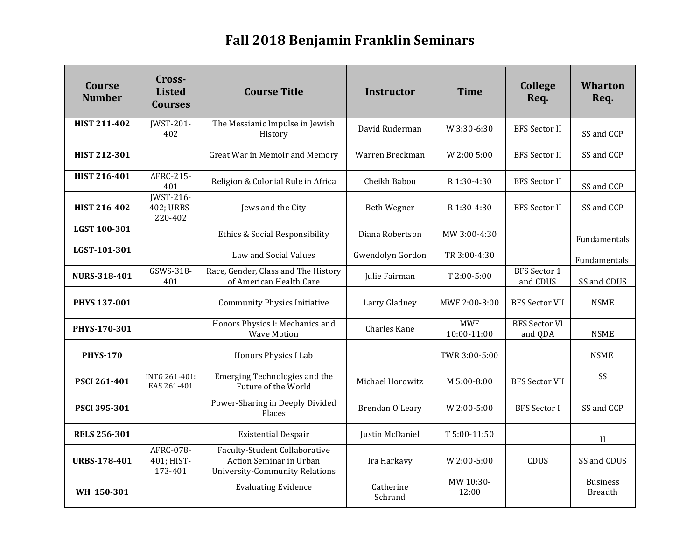## **Fall 2018 Benjamin Franklin Seminars**

| Course<br><b>Number</b> | Cross-<br><b>Listed</b><br><b>Courses</b> | <b>Course Title</b>                                                                                      | <b>Instructor</b>    | <b>Time</b>               | College<br>Req.                 | <b>Wharton</b><br>Req.            |
|-------------------------|-------------------------------------------|----------------------------------------------------------------------------------------------------------|----------------------|---------------------------|---------------------------------|-----------------------------------|
| <b>HIST 211-402</b>     | <b>IWST-201-</b><br>402                   | The Messianic Impulse in Jewish<br>History                                                               | David Ruderman       | W 3:30-6:30               | <b>BFS</b> Sector II            | SS and CCP                        |
| HIST 212-301            |                                           | Great War in Memoir and Memory                                                                           | Warren Breckman      | W 2:00 5:00               | <b>BFS Sector II</b>            | SS and CCP                        |
| <b>HIST 216-401</b>     | AFRC-215-<br>401                          | Religion & Colonial Rule in Africa                                                                       | Cheikh Babou         | R 1:30-4:30               | <b>BFS</b> Sector II            | SS and CCP                        |
| HIST 216-402            | JWST-216-<br>402; URBS-<br>220-402        | Jews and the City                                                                                        | <b>Beth Wegner</b>   | R 1:30-4:30               | <b>BFS</b> Sector II            | SS and CCP                        |
| LGST 100-301            |                                           | Ethics & Social Responsibility                                                                           | Diana Robertson      | MW 3:00-4:30              |                                 | Fundamentals                      |
| LGST-101-301            |                                           | Law and Social Values                                                                                    | Gwendolyn Gordon     | TR 3:00-4:30              |                                 | Fundamentals                      |
| <b>NURS-318-401</b>     | GSWS-318-<br>401                          | Race, Gender, Class and The History<br>of American Health Care                                           | Julie Fairman        | T 2:00-5:00               | <b>BFS</b> Sector 1<br>and CDUS | SS and CDUS                       |
| <b>PHYS 137-001</b>     |                                           | <b>Community Physics Initiative</b>                                                                      | Larry Gladney        | MWF 2:00-3:00             | <b>BFS Sector VII</b>           | <b>NSME</b>                       |
| PHYS-170-301            |                                           | Honors Physics I: Mechanics and<br><b>Wave Motion</b>                                                    | <b>Charles Kane</b>  | <b>MWF</b><br>10:00-11:00 | <b>BFS Sector VI</b><br>and QDA | <b>NSME</b>                       |
| <b>PHYS-170</b>         |                                           | Honors Physics I Lab                                                                                     |                      | TWR 3:00-5:00             |                                 | <b>NSME</b>                       |
| <b>PSCI 261-401</b>     | INTG 261-401:<br>EAS 261-401              | Emerging Technologies and the<br>Future of the World                                                     | Michael Horowitz     | M 5:00-8:00               | <b>BFS Sector VII</b>           | SS                                |
| PSCI 395-301            |                                           | Power-Sharing in Deeply Divided<br>Places                                                                | Brendan O'Leary      | W 2:00-5:00               | <b>BFS</b> Sector I             | SS and CCP                        |
| <b>RELS 256-301</b>     |                                           | <b>Existential Despair</b>                                                                               | Justin McDaniel      | T 5:00-11:50              |                                 | H                                 |
| <b>URBS-178-401</b>     | AFRC-078-<br>401; HIST-<br>173-401        | <b>Faculty-Student Collaborative</b><br>Action Seminar in Urban<br><b>University-Community Relations</b> | Ira Harkavy          | W 2:00-5:00               | <b>CDUS</b>                     | SS and CDUS                       |
| WH 150-301              |                                           | <b>Evaluating Evidence</b>                                                                               | Catherine<br>Schrand | MW 10:30-<br>12:00        |                                 | <b>Business</b><br><b>Breadth</b> |